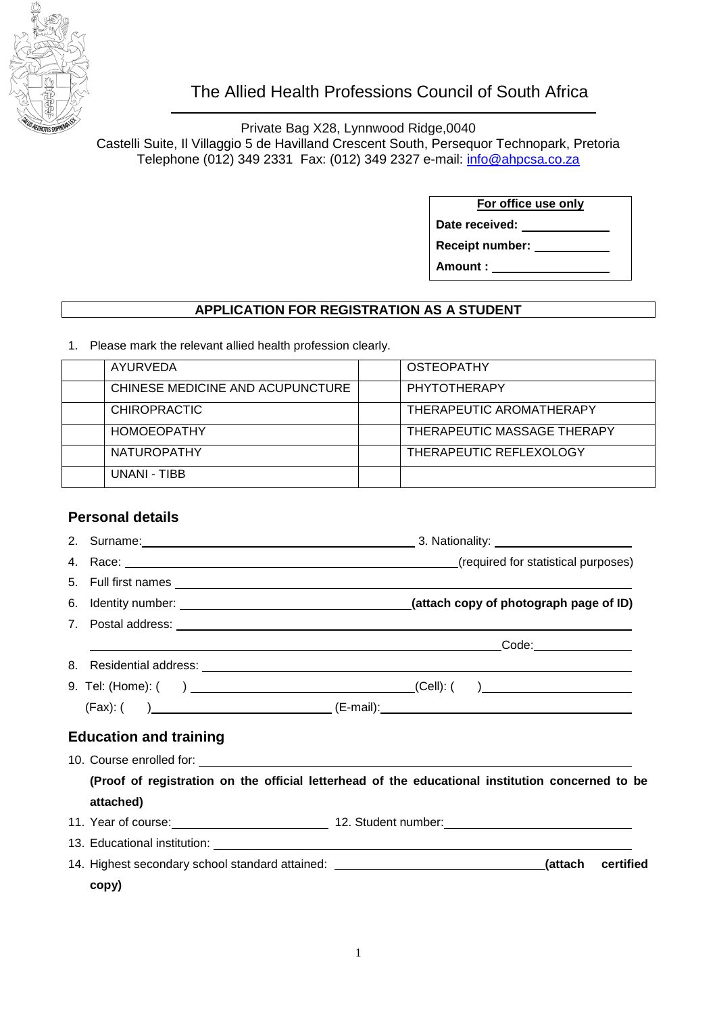

## The Allied Health Professions Council of South Africa

Private Bag X28, Lynnwood Ridge,0040 Castelli Suite, Il Villaggio 5 de Havilland Crescent South, Persequor Technopark, Pretoria Telephone (012) 349 2331 Fax: (012) 349 2327 e-mail: [info@ahpcsa.co.za](mailto:info@ahpcsa.co.za)

**For office use only**

**Date received: Receipt number:** 

**Amount :** 

## **APPLICATION FOR REGISTRATION AS A STUDENT**

1. Please mark the relevant allied health profession clearly.

| AYURVEDA                         | <b>OSTEOPATHY</b>           |
|----------------------------------|-----------------------------|
| CHINESE MEDICINE AND ACUPUNCTURE | PHYTOTHERAPY                |
| <b>CHIROPRACTIC</b>              | THERAPEUTIC AROMATHERAPY    |
| <b>HOMOEOPATHY</b>               | THERAPEUTIC MASSAGE THERAPY |
| <b>NATUROPATHY</b>               | THERAPEUTIC REFLEXOLOGY     |
| UNANI - TIBB                     |                             |

## **Personal details**

| 2. Surname: 2008. [2016] 2. Surname: 2. Surname: 2. Surname: 2. Surname: 2. Surname: 2. Surname: 2. Surname: 2. Surname: 2. Surname: 2. Surname: 2. Surname: 2. Surname: 2. Surname: 2. Surname: 2. Surname: 2. Surname: 2. Su |  |  |  |  |
|--------------------------------------------------------------------------------------------------------------------------------------------------------------------------------------------------------------------------------|--|--|--|--|
| (required for statistical purposes)                                                                                                                                                                                            |  |  |  |  |
|                                                                                                                                                                                                                                |  |  |  |  |
|                                                                                                                                                                                                                                |  |  |  |  |
|                                                                                                                                                                                                                                |  |  |  |  |
|                                                                                                                                                                                                                                |  |  |  |  |
|                                                                                                                                                                                                                                |  |  |  |  |
|                                                                                                                                                                                                                                |  |  |  |  |
|                                                                                                                                                                                                                                |  |  |  |  |
|                                                                                                                                                                                                                                |  |  |  |  |
|                                                                                                                                                                                                                                |  |  |  |  |
| (Proof of registration on the official letterhead of the educational institution concerned to be                                                                                                                               |  |  |  |  |
|                                                                                                                                                                                                                                |  |  |  |  |
| 11. Year of course: 12. Student number:                                                                                                                                                                                        |  |  |  |  |
| 13. Educational institution: <u>contained and contained and contained</u> and contained and contained and contained and                                                                                                        |  |  |  |  |
| 14. Highest secondary school standard attained: ________________________________(attach<br>certified                                                                                                                           |  |  |  |  |
|                                                                                                                                                                                                                                |  |  |  |  |
|                                                                                                                                                                                                                                |  |  |  |  |